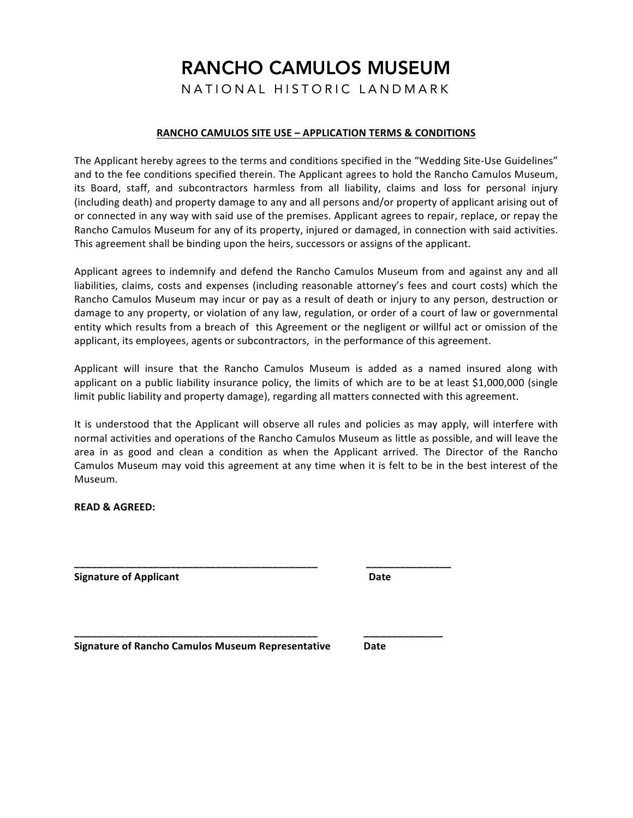## RANCHO CAMULOS MUSEUM

NATIONAL HISTORIC LANDMARK

## **RANCHO CAMULOS SITE USE - APPLICATION TERMS & CONDITIONS**

The Applicant hereby agrees to the terms and conditions specified in the "Wedding Site-Use Guidelines" and to the fee conditions specified therein. The Applicant agrees to hold the Rancho Camulos Museum, its Board, staff, and subcontractors harmless from all liability, claims and loss for personal injury (including death) and property damage to any and all persons and/or property of applicant arising out of or connected in any way with said use of the premises. Applicant agrees to repair, replace, or repay the Rancho Camulos Museum for any of its property, injured or damaged, in connection with said activities. This agreement shall be binding upon the heirs, successors or assigns of the applicant.

Applicant agrees to indemnify and defend the Rancho Camulos Museum from and against any and all liabilities, claims, costs and expenses (including reasonable attorney's fees and court costs) which the Rancho Camulos Museum may incur or pay as a result of death or injury to any person, destruction or damage to any property, or violation of any law, regulation, or order of a court of law or governmental entity which results from a breach of this Agreement or the negligent or willful act or omission of the applicant, its employees, agents or subcontractors, in the performance of this agreement.

Applicant will insure that the Rancho Camulos Museum is added as a named insured along with applicant on a public liability insurance policy, the limits of which are to be at least \$1,000,000 (single limit public liability and property damage), regarding all matters connected with this agreement.

It is understood that the Applicant will observe all rules and policies as may apply, will interfere with normal activities and operations of the Rancho Camulos Museum as little as possible, and will leave the area in as good and clean a condition as when the Applicant arrived. The Director of the Rancho Camulos Museum may void this agreement at any time when it is felt to be in the best interest of the Museum. 

**\_\_\_\_\_\_\_\_\_\_\_\_\_\_\_\_\_\_\_\_\_\_\_\_\_\_\_\_\_\_\_\_\_\_\_\_\_\_\_\_\_\_\_ \_\_\_\_\_\_\_\_\_\_\_\_\_\_\_**

**\_\_\_\_\_\_\_\_\_\_\_\_\_\_\_\_\_\_\_\_\_\_\_\_\_\_\_\_\_\_\_\_\_\_\_\_\_\_\_\_\_\_\_ \_\_\_\_\_\_\_\_\_\_\_\_\_\_**

**READ & AGREED:** 

**Signature of Applicant Busic Contract Contract Contract Contract Contract Contract Contract Contract Contract Contract Contract Contract Contract Contract Contract Contract Contract Contract Contract Contract Contract C** 

**Signature of Rancho Camulos Museum Representative Date**